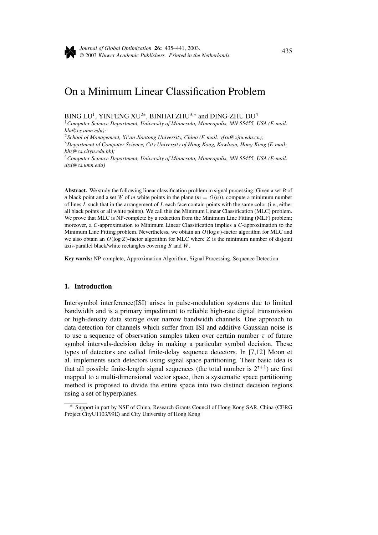

*Journal of Global Optimization* **26:** 435–441, 2003. © 2003 *Kluwer Academic Publishers. Printed in the Netherlands.* <sup>435</sup>

# On a Minimum Linear Classification Problem

BING LU<sup>1</sup>, YINFENG XU<sup>2∗</sup>, BINHAI ZHU<sup>3,∗</sup> and DING-ZHU DU<sup>4</sup>

<sup>1</sup>*Computer Science Department, University of Minnesota, Minneapolis, MN 55455, USA (E-mail: blu@cs.umn.edu);*

<sup>2</sup>*School of Management, Xi'an Jiaotong University, China (E-mail: yfxu@xjtu.edu.cn);*

<sup>3</sup>*Department of Computer Science, City University of Hong Kong, Kowloon, Hong Kong (E-mail: bhz@cs.cityu.edu.hk);*

<sup>4</sup>*Computer Science Department, University of Minnesota, Minneapolis, MN 55455, USA (E-mail: dzd@cs.umn.edu)*

**Abstract.** We study the following linear classification problem in signal processing: Given a set *B* of *n* black point and a set *W* of *m* white points in the plane  $(m = O(n))$ , compute a minimum number of lines *L* such that in the arrangement of *L* each face contain points with the same color (i.e., either all black points or all white points). We call this the Minimum Linear Classification (MLC) problem. We prove that MLC is NP-complete by a reduction from the Minimum Line Fitting (MLF) problem; moreover, a *C*-approximation to Minimum Linear Classification implies a *C*-approximation to the Minimum Line Fitting problem. Nevertheless, we obtain an *O(*log *n)*-factor algorithm for MLC and we also obtain an *O(*log*Z)*-factor algorithm for MLC where *Z* is the minimum number of disjoint axis-parallel black/white rectangles covering *B* and *W*.

**Key words:** NP-complete, Approximation Algorithm, Signal Processing, Sequence Detection

## **1. Introduction**

Intersymbol interference(ISI) arises in pulse-modulation systems due to limited bandwidth and is a primary impediment to reliable high-rate digital transmission or high-density data storage over narrow bandwidth channels. One approach to data detection for channels which suffer from ISI and additive Gaussian noise is to use a sequence of observation samples taken over certain number *τ* of future symbol intervals-decision delay in making a particular symbol decision. These types of detectors are called finite-delay sequence detectors. In [7,12] Moon et al. implements such detectors using signal space partitioning. Their basic idea is that all possible finite-length signal sequences (the total number is  $2^{\tau+1}$ ) are first mapped to a multi-dimensional vector space, then a systematic space partitioning method is proposed to divide the entire space into two distinct decision regions using a set of hyperplanes.

<sup>∗</sup> Support in part by NSF of China, Research Grants Council of Hong Kong SAR, China (CERG Project CityU1103/99E) and City University of Hong Kong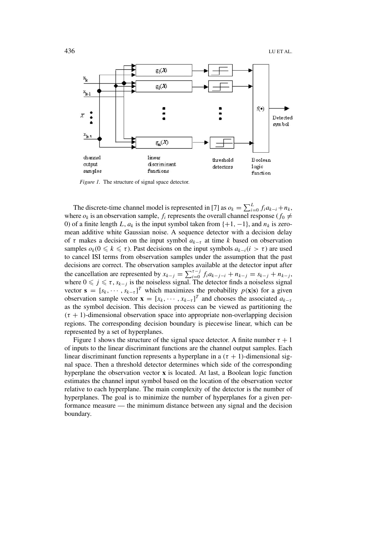

*Figure 1.* The structure of signal space detector.

The discrete-time channel model is represented in [7] as  $o_k = \sum_{i=0}^{L} f_i a_{k-i} + n_k$ , where  $o_k$  is an observation sample,  $f_i$  represents the overall channel response ( $f_0 \neq$ 0) of a finite length *L*,  $a_k$  is the input symbol taken from  $\{+1, -1\}$ , and  $n_k$  is zeromean additive white Gaussian noise. A sequence detector with a decision delay of *τ* makes a decision on the input symbol *ak*<sup>−</sup>*<sup>τ</sup>* at time *k* based on observation samples  $o_k$  ( $0 \le k \le \tau$ ). Past decisions on the input symbols  $a_{k-i}$  ( $i > \tau$ ) are used to cancel ISI terms from observation samples under the assumption that the past decisions are correct. The observation samples available at the detector input after the cancellation are represented by  $x_{k-j} = \sum_{i=0}^{\tau-j} f_i a_{k-j-i} + n_{k-j} = s_{k-j} + n_{k-j}$ , where  $0 \leq j \leq \tau$ ,  $s_{k-j}$  is the noiseless signal. The detector finds a noiseless signal vector  $\mathbf{s} = [s_k, \dots, s_{k-\tau}]^T$  which maximizes the probability  $p(\mathbf{x}|\mathbf{s})$  for a given observation sample vector  $\mathbf{x} = [x_k, \dots, x_{k-\tau}]^T$  and chooses the associated  $a_{k-\tau}$ as the symbol decision. This decision process can be viewed as partitioning the  $(\tau + 1)$ -dimensional observation space into appropriate non-overlapping decision regions. The corresponding decision boundary is piecewise linear, which can be represented by a set of hyperplanes.

Figure 1 shows the structure of the signal space detector. A finite number  $\tau + 1$ of inputs to the linear discriminant functions are the channel output samples. Each linear discriminant function represents a hyperplane in a  $(\tau + 1)$ -dimensional signal space. Then a threshold detector determines which side of the corresponding hyperplane the observation vector **x** is located. At last, a Boolean logic function estimates the channel input symbol based on the location of the observation vector relative to each hyperplane. The main complexity of the detector is the number of hyperplanes. The goal is to minimize the number of hyperplanes for a given performance measure — the minimum distance between any signal and the decision boundary.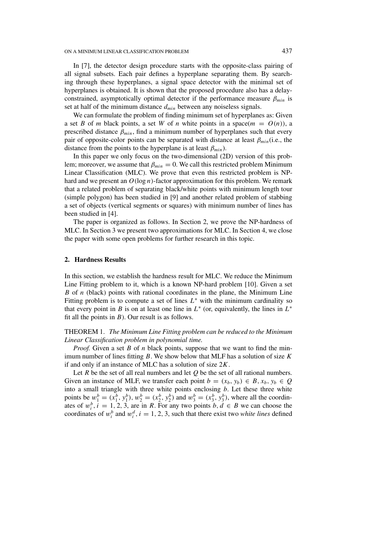#### ON A MINIMUM LINEAR CLASSIFICATION PROBLEM 437

In [7], the detector design procedure starts with the opposite-class pairing of all signal subsets. Each pair defines a hyperplane separating them. By searching through these hyperplanes, a signal space detector with the minimal set of hyperplanes is obtained. It is shown that the proposed procedure also has a delayconstrained, asymptotically optimal detector if the performance measure  $\beta_{min}$  is set at half of the minimum distance  $d_{min}$  between any noiseless signals.

We can formulate the problem of finding minimum set of hyperplanes as: Given a set *B* of *m* black points, a set *W* of *n* white points in a space( $m = O(n)$ ), a prescribed distance  $\beta_{min}$ , find a minimum number of hyperplanes such that every pair of opposite-color points can be separated with distance at least  $\beta_{min}$ (i.e., the distance from the points to the hyperplane is at least  $\beta_{min}$ ).

In this paper we only focus on the two-dimensional (2D) version of this problem; moreover, we assume that  $\beta_{min} = 0$ . We call this restricted problem Minimum Linear Classification (MLC). We prove that even this restricted problem is NPhard and we present an *O(*log *n)*-factor approximation for this problem. We remark that a related problem of separating black/white points with minimum length tour (simple polygon) has been studied in [9] and another related problem of stabbing a set of objects (vertical segments or squares) with minimum number of lines has been studied in [4].

The paper is organized as follows. In Section 2, we prove the NP-hardness of MLC. In Section 3 we present two approximations for MLC. In Section 4, we close the paper with some open problems for further research in this topic.

#### **2. Hardness Results**

In this section, we establish the hardness result for MLC. We reduce the Minimum Line Fitting problem to it, which is a known NP-hard problem [10]. Given a set *B* of *n* (black) points with rational coordinates in the plane, the Minimum Line Fitting problem is to compute a set of lines *L*<sup>∗</sup> with the minimum cardinality so that every point in *B* is on at least one line in  $L^*$  (or, equivalently, the lines in  $L^*$ fit all the points in *B*). Our result is as follows.

THEOREM 1. *The Minimum Line Fitting problem can be reduced to the Minimum Linear Classification problem in polynomial time.*

*Proof.* Given a set *B* of *n* black points, suppose that we want to find the minimum number of lines fitting *B*. We show below that MLF has a solution of size *K* if and only if an instance of MLC has a solution of size 2*K*.

Let  $R$  be the set of all real numbers and let  $Q$  be the set of all rational numbers. Given an instance of MLF, we transfer each point  $b = (x_b, y_b) \in B$ ,  $x_b, y_b \in Q$ into a small triangle with three white points enclosing *b*. Let these three white points be  $w_1^b = (x_1^b, y_1^b), w_2^b = (x_2^b, y_2^b)$  and  $w_3^b = (x_3^b, y_3^b)$ , where all the coordinates of  $w_i^b$ ,  $i = 1, 2, 3$ , are in *R*. For any two points  $b, d \in B$  we can choose the coordinates of  $w_i^b$  and  $w_i^d$ ,  $i = 1, 2, 3$ , such that there exist two *white lines* defined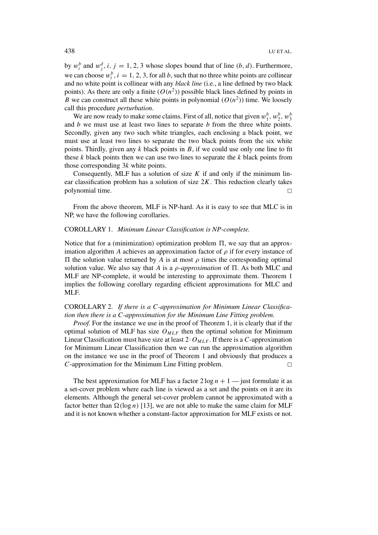by  $w_i^b$  and  $w_j^d$ , *i*, *j* = 1, 2, 3 whose slopes bound that of line *(b, d)*. Furthermore, we can choose  $w_i^b$ ,  $i = 1, 2, 3$ , for all *b*, such that no three white points are collinear and no white point is collinear with any *black line* (i.e., a line defined by two black points). As there are only a finite  $(O(n^2))$  possible black lines defined by points in *B* we can construct all these white points in polynomial  $(O(n^2))$  time. We loosely call this procedure *perturbation*.

We are now ready to make some claims. First of all, notice that given  $w_1^b$ ,  $w_2^b$ ,  $w_3^b$ and *b* we must use at least two lines to separate *b* from the three white points. Secondly, given any two such white triangles, each enclosing a black point, we must use at least two lines to separate the two black points from the six white points. Thirdly, given any *k* black points in *B*, if we could use only one line to fit these *k* black points then we can use two lines to separate the *k* black points from those corresponding 3*k* white points.

Consequently, MLF has a solution of size  $K$  if and only if the minimum linear classification problem has a solution of size 2*K*. This reduction clearly takes polynomial time.

From the above theorem, MLF is NP-hard. As it is easy to see that MLC is in NP, we have the following corollaries.

#### COROLLARY 1. *Minimum Linear Classification is NP-complete.*

Notice that for a (minimization) optimization problem  $\Pi$ , we say that an approximation algorithm *A* achieves an approximation factor of  $\rho$  if for every instance of IT the solution value returned by *A* is at most *ρ* times the corresponding optimal solution value. We also say that *A* is a *ρ*-*approximation* of  $\Pi$ . As both MLC and MLF are NP-complete, it would be interesting to approximate them. Theorem 1 implies the following corollary regarding efficient approximations for MLC and MLF.

# COROLLARY 2. *If there is a C-approximation for Minimum Linear Classification then there is a C-approximation for the Minimum Line Fitting problem.*

*Proof.* For the instance we use in the proof of Theorem 1, it is clearly that if the optimal solution of MLF has size  $O_{MLF}$  then the optimal solution for Minimum Linear Classification must have size at least  $2 \cdot O_{MLF}$ . If there is a *C*-approximation for Minimum Linear Classification then we can run the approximation algorithm on the instance we use in the proof of Theorem 1 and obviously that produces a *C*-approximation for the Minimum Line Fitting problem.

The best approximation for MLF has a factor  $2 \log n + 1$  — just formulate it as a set-cover problem where each line is viewed as a set and the points on it are its elements. Although the general set-cover problem cannot be approximated with a factor better than  $\Omega(\log n)$  [13], we are not able to make the same claim for MLF and it is not known whether a constant-factor approximation for MLF exists or not.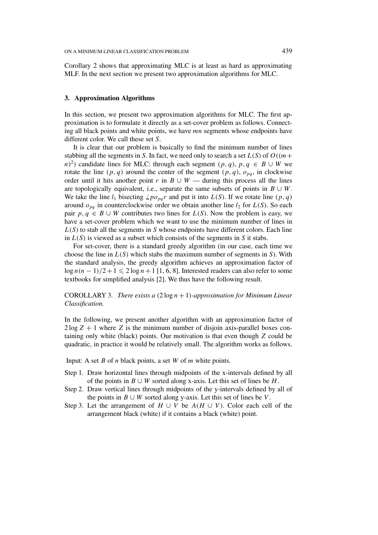Corollary 2 shows that approximating MLC is at least as hard as approximating MLF. In the next section we present two approximation algorithms for MLC.

## **3. Approximation Algorithms**

In this section, we present two approximation algorithms for MLC. The first approximation is to formulate it directly as a set-cover problem as follows. Connecting all black points and white points, we have *mn* segments whose endpoints have different color. We call these set *S*.

It is clear that our problem is basically to find the minimum number of lines stabbing all the segments in *S*. In fact, we need only to search a set  $L(S)$  of  $O((m +$ *n*)<sup>2</sup>) candidate lines for MLC: through each segment  $(p, q)$ ,  $p, q \in B \cup W$  we rotate the line  $(p, q)$  around the center of the segment  $(p, q)$ ,  $o_{na}$ , in clockwise order until it hits another point  $r$  in  $B \cup W$  — during this process all the lines are topologically equivalent, i.e., separate the same subsets of points in  $B \cup W$ . We take the line  $l_1$  bisecting  $\angle po_{pq}r$  and put it into  $L(S)$ . If we rotate line  $(p, q)$ around  $o_{pa}$  in counterclockwise order we obtain another line  $l_2$  for  $L(S)$ . So each pair  $p, q \in B \cup W$  contributes two lines for  $L(S)$ . Now the problem is easy, we have a set-cover problem which we want to use the minimum number of lines in *L(S)* to stab all the segments in *S* whose endpoints have different colors. Each line in  $L(S)$  is viewed as a subset which consists of the segments in  $S$  it stabs.

For set-cover, there is a standard greedy algorithm (in our case, each time we choose the line in *L(S)* which stabs the maximum number of segments in *S*). With the standard analysis, the greedy algorithm achieves an approximation factor of  $\log n(n-1)/2+1 \leq 2 \log n + 1$  [1, 6, 8]. Interested readers can also refer to some textbooks for simplified analysis [2]. We thus have the following result.

# COROLLARY 3. *There exists a*  $(2 \log n + 1)$ *-approximation for Minimum Linear Classification.*

In the following, we present another algorithm with an approximation factor of  $2 \log Z + 1$  where Z is the minimum number of disjoin axis-parallel boxes containing only white (black) points. Our motivation is that even though *Z* could be quadratic, in practice it would be relatively small. The algorithm works as follows.

Input: A set *B* of *n* black points, a set *W* of *m* white points.

- Step 1. Draw horizontal lines through midpoints of the x-intervals defined by all of the points in  $B \cup W$  sorted along x-axis. Let this set of lines be *H*.
- Step 2. Draw vertical lines through midpoints of the y-intervals defined by all of the points in  $B \cup W$  sorted along y-axis. Let this set of lines be *V*.
- Step 3. Let the arrangement of  $H \cup V$  be  $A(H \cup V)$ . Color each cell of the arrangement black (white) if it contains a black (white) point.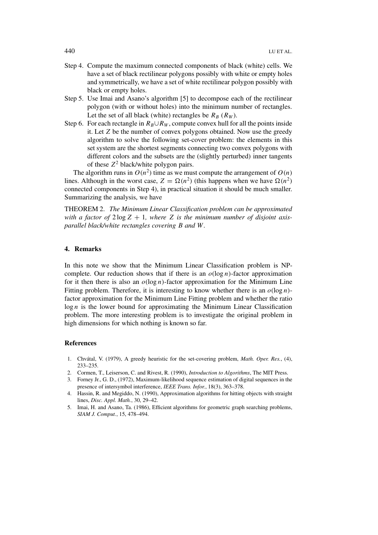- Step 4. Compute the maximum connected components of black (white) cells. We have a set of black rectilinear polygons possibly with white or empty holes and symmetrically, we have a set of white rectilinear polygon possibly with black or empty holes.
- Step 5. Use Imai and Asano's algorithm [5] to decompose each of the rectilinear polygon (with or without holes) into the minimum number of rectangles. Let the set of all black (white) rectangles be  $R_B$  ( $R_W$ ).
- Step 6. For each rectangle in  $R_B \cup R_W$ , compute convex hull for all the points inside it. Let *Z* be the number of convex polygons obtained. Now use the greedy algorithm to solve the following set-cover problem: the elements in this set system are the shortest segments connecting two convex polygons with different colors and the subsets are the (slightly perturbed) inner tangents of these *Z*<sup>2</sup> black/white polygon pairs.

The algorithm runs in  $O(n^2)$  time as we must compute the arrangement of  $O(n)$ lines. Although in the worst case,  $Z = \Omega(n^2)$  (this happens when we have  $\Omega(n^2)$ ) connected components in Step 4), in practical situation it should be much smaller. Summarizing the analysis, we have

THEOREM 2. *The Minimum Linear Classification problem can be approximated* with a factor of  $2 \log Z + 1$ , where Z is the minimum number of disjoint axis*parallel black/white rectangles covering B and W.*

#### **4. Remarks**

In this note we show that the Minimum Linear Classification problem is NPcomplete. Our reduction shows that if there is an  $o(\log n)$ -factor approximation for it then there is also an  $o(\log n)$ -factor approximation for the Minimum Line Fitting problem. Therefore, it is interesting to know whether there is an *o(*log *n)* factor approximation for the Minimum Line Fitting problem and whether the ratio  $log n$  is the lower bound for approximating the Minimum Linear Classification problem. The more interesting problem is to investigate the original problem in high dimensions for which nothing is known so far.

#### **References**

- 1. Chvátal, V. (1979), A greedy heuristic for the set-covering problem, *Math. Oper. Res.*, (4), 233–235.
- 2. Cormen, T., Leiserson, C. and Rivest, R. (1990), *Introduction to Algorithms*, The MIT Press.
- 3. Forney Jr., G. D., (1972), Maximum-likelihood sequence estimation of digital sequences in the presence of intersymbol interference, *IEEE Trans. Infor.*, 18(3), 363–378.
- 4. Hassin, R. and Megiddo, N. (1990), Approximation algorithms for hitting objects with straight lines, *Disc. Appl. Math.*, 30, 29–42.
- 5. Imai, H. and Asano, Ta. (1986), Efficient algorithms for geometric graph searching problems, *SIAM J. Comput.*, 15, 478–494.